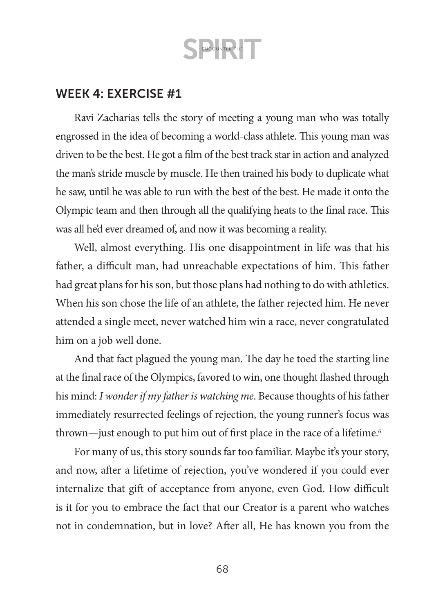### WEEK 4: EXERCISE #1

Ravi Zacharias tells the story of meeting a young man who was totally engrossed in the idea of becoming a world-class athlete. This young man was driven to be the best. He got a film of the best track star in action and analyzed the man's stride muscle by muscle. He then trained his body to duplicate what he saw, until he was able to run with the best of the best. He made it onto the Olympic team and then through all the qualifying heats to the final race. This was all he'd ever dreamed of, and now it was becoming a reality.

Well, almost everything. His one disappointment in life was that his father, a difficult man, had unreachable expectations of him. This father had great plans for his son, but those plans had nothing to do with athletics. When his son chose the life of an athlete, the father rejected him. He never attended a single meet, never watched him win a race, never congratulated him on a job well done.

And that fact plagued the young man. The day he toed the starting line at the final race of the Olympics, favored to win, one thought flashed through his mind: *I wonder if my father is watching me*. Because thoughts of his father immediately resurrected feelings of rejection, the young runner's focus was thrown—just enough to put him out of first place in the race of a lifetime.<sup>6</sup>

For many of us, this story sounds far too familiar. Maybe it's your story, and now, after a lifetime of rejection, you've wondered if you could ever internalize that gift of acceptance from anyone, even God. How difficult is it for you to embrace the fact that our Creator is a parent who watches not in condemnation, but in love? After all, He has known you from the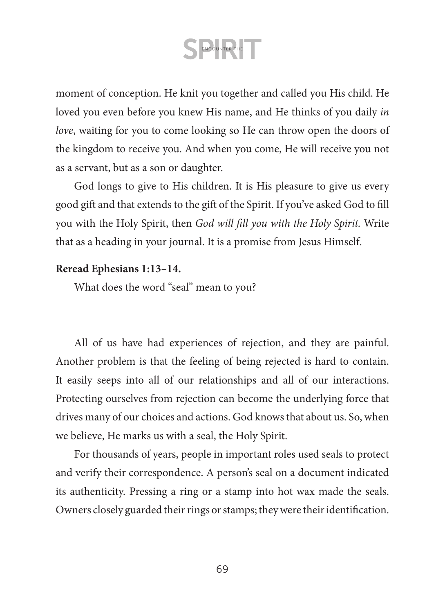moment of conception. He knit you together and called you His child. He loved you even before you knew His name, and He thinks of you daily *in love*, waiting for you to come looking so He can throw open the doors of the kingdom to receive you. And when you come, He will receive you not as a servant, but as a son or daughter.

God longs to give to His children. It is His pleasure to give us every good gift and that extends to the gift of the Spirit. If you've asked God to fill you with the Holy Spirit, then *God will fill you with the Holy Spirit.* Write that as a heading in your journal. It is a promise from Jesus Himself.

#### **Reread Ephesians 1:13–14.**

What does the word "seal" mean to you?

All of us have had experiences of rejection, and they are painful. Another problem is that the feeling of being rejected is hard to contain. It easily seeps into all of our relationships and all of our interactions. Protecting ourselves from rejection can become the underlying force that drives many of our choices and actions. God knows that about us. So, when we believe, He marks us with a seal, the Holy Spirit.

For thousands of years, people in important roles used seals to protect and verify their correspondence. A person's seal on a document indicated its authenticity. Pressing a ring or a stamp into hot wax made the seals. Owners closely guarded their rings or stamps; they were their identification.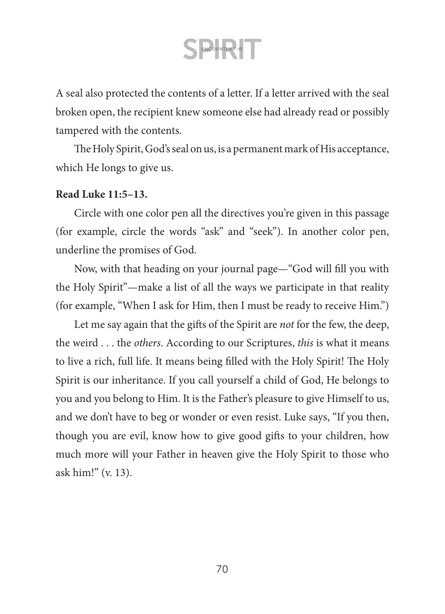A seal also protected the contents of a letter. If a letter arrived with the seal broken open, the recipient knew someone else had already read or possibly tampered with the contents.

The Holy Spirit, God's seal on us, is a permanent mark of His acceptance, which He longs to give us.

#### **Read Luke 11:5–13.**

Circle with one color pen all the directives you're given in this passage (for example, circle the words "ask" and "seek"). In another color pen, underline the promises of God.

Now, with that heading on your journal page—"God will fill you with the Holy Spirit"—make a list of all the ways we participate in that reality (for example, "When I ask for Him, then I must be ready to receive Him.")

Let me say again that the gifts of the Spirit are *not* for the few, the deep, the weird . . . the *others*. According to our Scriptures, *this* is what it means to live a rich, full life. It means being filled with the Holy Spirit! The Holy Spirit is our inheritance. If you call yourself a child of God, He belongs to you and you belong to Him. It is the Father's pleasure to give Himself to us, and we don't have to beg or wonder or even resist. Luke says, "If you then, though you are evil, know how to give good gifts to your children, how much more will your Father in heaven give the Holy Spirit to those who ask him!" (v. 13).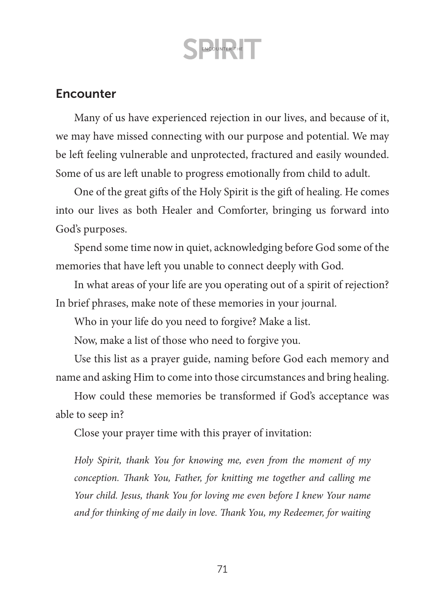### **Encounter**

Many of us have experienced rejection in our lives, and because of it, we may have missed connecting with our purpose and potential. We may be left feeling vulnerable and unprotected, fractured and easily wounded. Some of us are left unable to progress emotionally from child to adult.

One of the great gifts of the Holy Spirit is the gift of healing. He comes into our lives as both Healer and Comforter, bringing us forward into God's purposes.

Spend some time now in quiet, acknowledging before God some of the memories that have left you unable to connect deeply with God.

In what areas of your life are you operating out of a spirit of rejection? In brief phrases, make note of these memories in your journal.

Who in your life do you need to forgive? Make a list.

Now, make a list of those who need to forgive you.

Use this list as a prayer guide, naming before God each memory and name and asking Him to come into those circumstances and bring healing.

How could these memories be transformed if God's acceptance was able to seep in?

Close your prayer time with this prayer of invitation:

*Holy Spirit, thank You for knowing me, even from the moment of my conception. Thank You, Father, for knitting me together and calling me Your child. Jesus, thank You for loving me even before I knew Your name and for thinking of me daily in love. Thank You, my Redeemer, for waiting*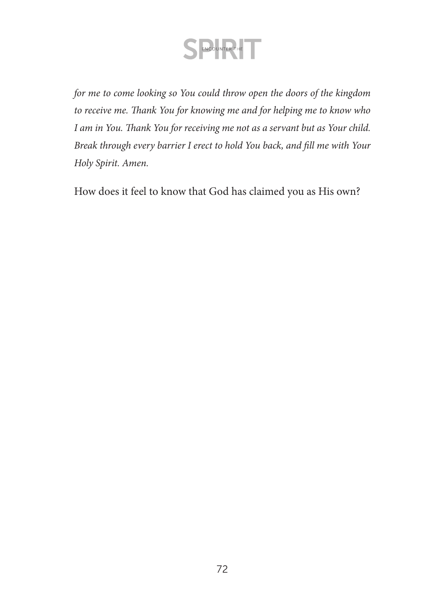

*for me to come looking so You could throw open the doors of the kingdom to receive me. Thank You for knowing me and for helping me to know who I am in You. Thank You for receiving me not as a servant but as Your child. Break through every barrier I erect to hold You back, and fill me with Your Holy Spirit. Amen.* 

How does it feel to know that God has claimed you as His own?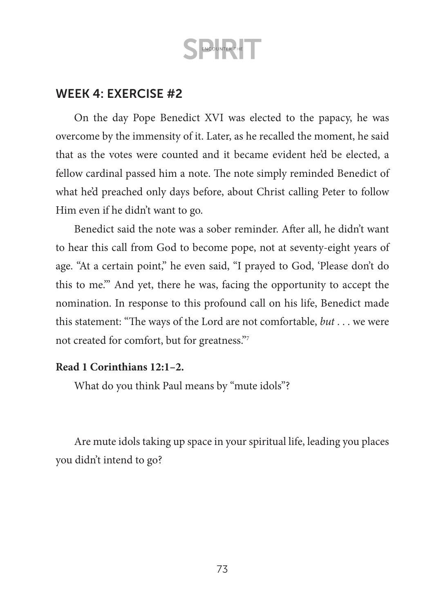### WEEK 4: EXERCISE #2

On the day Pope Benedict XVI was elected to the papacy, he was overcome by the immensity of it. Later, as he recalled the moment, he said that as the votes were counted and it became evident he'd be elected, a fellow cardinal passed him a note. The note simply reminded Benedict of what he'd preached only days before, about Christ calling Peter to follow Him even if he didn't want to go.

Benedict said the note was a sober reminder. After all, he didn't want to hear this call from God to become pope, not at seventy-eight years of age. "At a certain point," he even said, "I prayed to God, 'Please don't do this to me.'" And yet, there he was, facing the opportunity to accept the nomination. In response to this profound call on his life, Benedict made this statement: "The ways of the Lord are not comfortable, *but* . . . we were not created for comfort, but for greatness."7

#### **Read 1 Corinthians 12:1–2.**

What do you think Paul means by "mute idols"?

Are mute idols taking up space in your spiritual life, leading you places you didn't intend to go?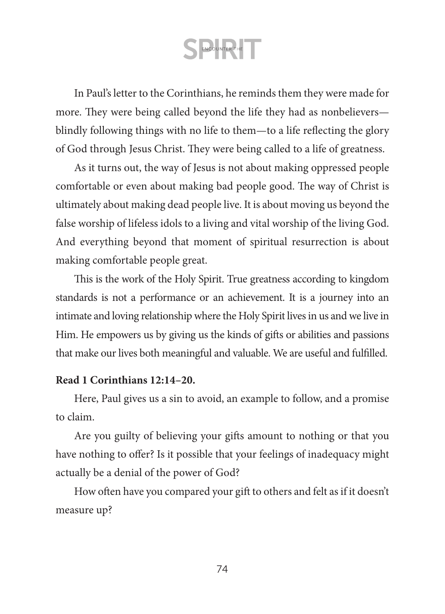In Paul's letter to the Corinthians, he reminds them they were made for more. They were being called beyond the life they had as nonbelievers blindly following things with no life to them—to a life reflecting the glory of God through Jesus Christ. They were being called to a life of greatness.

As it turns out, the way of Jesus is not about making oppressed people comfortable or even about making bad people good. The way of Christ is ultimately about making dead people live. It is about moving us beyond the false worship of lifeless idols to a living and vital worship of the living God. And everything beyond that moment of spiritual resurrection is about making comfortable people great.

This is the work of the Holy Spirit. True greatness according to kingdom standards is not a performance or an achievement. It is a journey into an intimate and loving relationship where the Holy Spirit lives in us and we live in Him. He empowers us by giving us the kinds of gifts or abilities and passions that make our lives both meaningful and valuable. We are useful and fulfilled.

#### **Read 1 Corinthians 12:14–20.**

Here, Paul gives us a sin to avoid, an example to follow, and a promise to claim.

Are you guilty of believing your gifts amount to nothing or that you have nothing to offer? Is it possible that your feelings of inadequacy might actually be a denial of the power of God?

How often have you compared your gift to others and felt as if it doesn't measure up?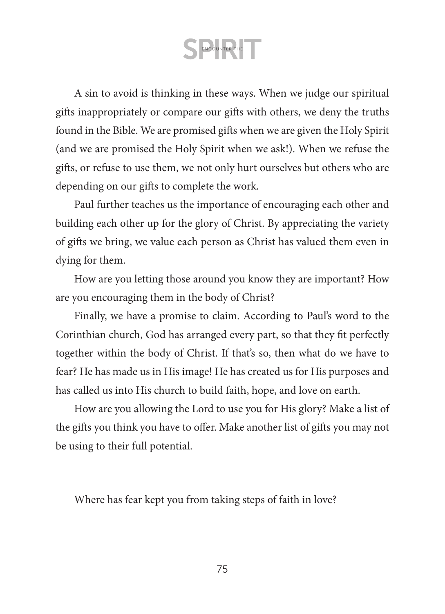A sin to avoid is thinking in these ways. When we judge our spiritual gifts inappropriately or compare our gifts with others, we deny the truths found in the Bible. We are promised gifts when we are given the Holy Spirit (and we are promised the Holy Spirit when we ask!). When we refuse the gifts, or refuse to use them, we not only hurt ourselves but others who are depending on our gifts to complete the work.

Paul further teaches us the importance of encouraging each other and building each other up for the glory of Christ. By appreciating the variety of gifts we bring, we value each person as Christ has valued them even in dying for them.

How are you letting those around you know they are important? How are you encouraging them in the body of Christ?

Finally, we have a promise to claim. According to Paul's word to the Corinthian church, God has arranged every part, so that they fit perfectly together within the body of Christ. If that's so, then what do we have to fear? He has made us in His image! He has created us for His purposes and has called us into His church to build faith, hope, and love on earth.

How are you allowing the Lord to use you for His glory? Make a list of the gifts you think you have to offer. Make another list of gifts you may not be using to their full potential.

Where has fear kept you from taking steps of faith in love?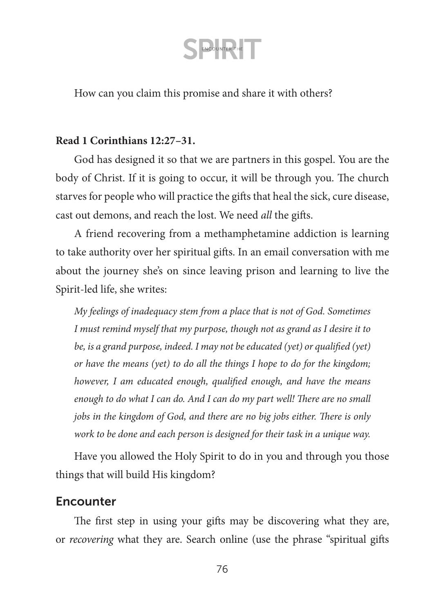How can you claim this promise and share it with others?

#### **Read 1 Corinthians 12:27–31.**

God has designed it so that we are partners in this gospel. You are the body of Christ. If it is going to occur, it will be through you. The church starves for people who will practice the gifts that heal the sick, cure disease, cast out demons, and reach the lost. We need *all* the gifts.

A friend recovering from a methamphetamine addiction is learning to take authority over her spiritual gifts. In an email conversation with me about the journey she's on since leaving prison and learning to live the Spirit-led life, she writes:

*My feelings of inadequacy stem from a place that is not of God. Sometimes I must remind myself that my purpose, though not as grand as I desire it to be, is a grand purpose, indeed. I may not be educated (yet) or qualified (yet) or have the means (yet) to do all the things I hope to do for the kingdom; however, I am educated enough, qualified enough, and have the means enough to do what I can do. And I can do my part well! There are no small jobs in the kingdom of God, and there are no big jobs either. There is only work to be done and each person is designed for their task in a unique way.*

Have you allowed the Holy Spirit to do in you and through you those things that will build His kingdom?

#### Encounter

The first step in using your gifts may be discovering what they are, or *recovering* what they are. Search online (use the phrase "spiritual gifts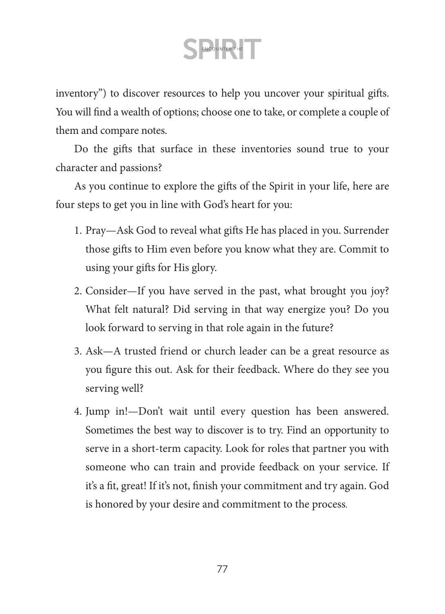inventory") to discover resources to help you uncover your spiritual gifts. You will find a wealth of options; choose one to take, or complete a couple of them and compare notes.

Do the gifts that surface in these inventories sound true to your character and passions?

As you continue to explore the gifts of the Spirit in your life, here are four steps to get you in line with God's heart for you:

- 1. Pray—Ask God to reveal what gifts He has placed in you. Surrender those gifts to Him even before you know what they are. Commit to using your gifts for His glory.
- 2. Consider—If you have served in the past, what brought you joy? What felt natural? Did serving in that way energize you? Do you look forward to serving in that role again in the future?
- 3. Ask—A trusted friend or church leader can be a great resource as you figure this out. Ask for their feedback. Where do they see you serving well?
- 4. Jump in!—Don't wait until every question has been answered. Sometimes the best way to discover is to try. Find an opportunity to serve in a short-term capacity. Look for roles that partner you with someone who can train and provide feedback on your service. If it's a fit, great! If it's not, finish your commitment and try again. God is honored by your desire and commitment to the process.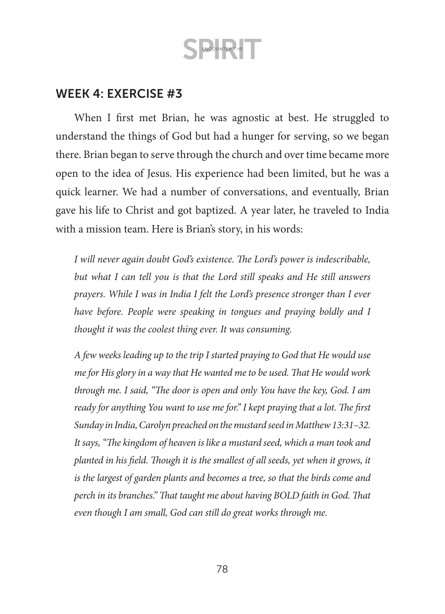### WEEK 4: EXERCISE #3

When I first met Brian, he was agnostic at best. He struggled to understand the things of God but had a hunger for serving, so we began there. Brian began to serve through the church and over time became more open to the idea of Jesus. His experience had been limited, but he was a quick learner. We had a number of conversations, and eventually, Brian gave his life to Christ and got baptized. A year later, he traveled to India with a mission team. Here is Brian's story, in his words:

*I will never again doubt God's existence. The Lord's power is indescribable, but what I can tell you is that the Lord still speaks and He still answers prayers. While I was in India I felt the Lord's presence stronger than I ever have before. People were speaking in tongues and praying boldly and I thought it was the coolest thing ever. It was consuming.* 

*A few weeks leading up to the trip I started praying to God that He would use me for His glory in a way that He wanted me to be used. That He would work through me. I said, "The door is open and only You have the key, God. I am ready for anything You want to use me for." I kept praying that a lot. The first Sunday in India, Carolyn preached on the mustard seed in Matthew 13:31–32. It says, "The kingdom of heaven is like a mustard seed, which a man took and planted in his field. Though it is the smallest of all seeds, yet when it grows, it is the largest of garden plants and becomes a tree, so that the birds come and perch in its branches." That taught me about having BOLD faith in God. That even though I am small, God can still do great works through me.*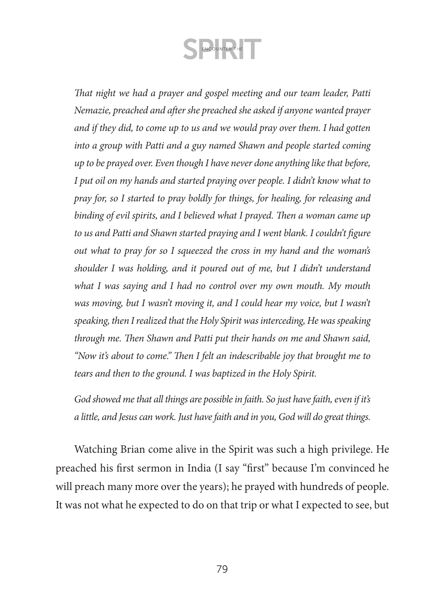*That night we had a prayer and gospel meeting and our team leader, Patti Nemazie, preached and after she preached she asked if anyone wanted prayer and if they did, to come up to us and we would pray over them. I had gotten into a group with Patti and a guy named Shawn and people started coming up to be prayed over. Even though I have never done anything like that before, I put oil on my hands and started praying over people. I didn't know what to pray for, so I started to pray boldly for things, for healing, for releasing and binding of evil spirits, and I believed what I prayed. Then a woman came up to us and Patti and Shawn started praying and I went blank. I couldn't figure out what to pray for so I squeezed the cross in my hand and the woman's shoulder I was holding, and it poured out of me, but I didn't understand what I was saying and I had no control over my own mouth. My mouth*  was moving, but I wasn't moving it, and I could hear my voice, but I wasn't *speaking, then I realized that the Holy Spirit was interceding, He was speaking through me. Then Shawn and Patti put their hands on me and Shawn said, "Now it's about to come." Then I felt an indescribable joy that brought me to tears and then to the ground. I was baptized in the Holy Spirit.* 

*God showed me that all things are possible in faith. So just have faith, even if it's a little, and Jesus can work. Just have faith and in you, God will do great things.*

Watching Brian come alive in the Spirit was such a high privilege. He preached his first sermon in India (I say "first" because I'm convinced he will preach many more over the years); he prayed with hundreds of people. It was not what he expected to do on that trip or what I expected to see, but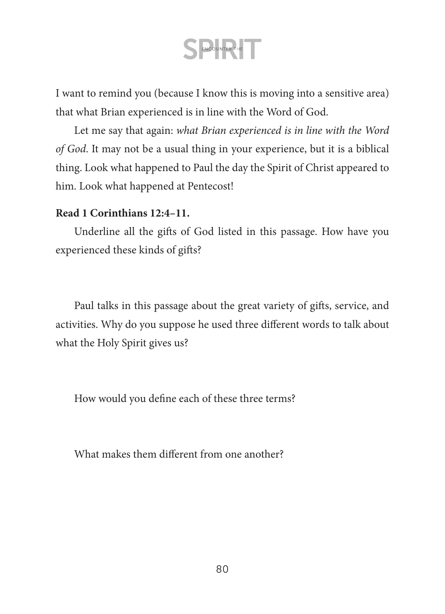I want to remind you (because I know this is moving into a sensitive area) that what Brian experienced is in line with the Word of God.

Let me say that again: *what Brian experienced is in line with the Word of God*. It may not be a usual thing in your experience, but it is a biblical thing. Look what happened to Paul the day the Spirit of Christ appeared to him. Look what happened at Pentecost!

### **Read 1 Corinthians 12:4–11.**

Underline all the gifts of God listed in this passage. How have you experienced these kinds of gifts?

Paul talks in this passage about the great variety of gifts, service, and activities. Why do you suppose he used three different words to talk about what the Holy Spirit gives us?

How would you define each of these three terms?

What makes them different from one another?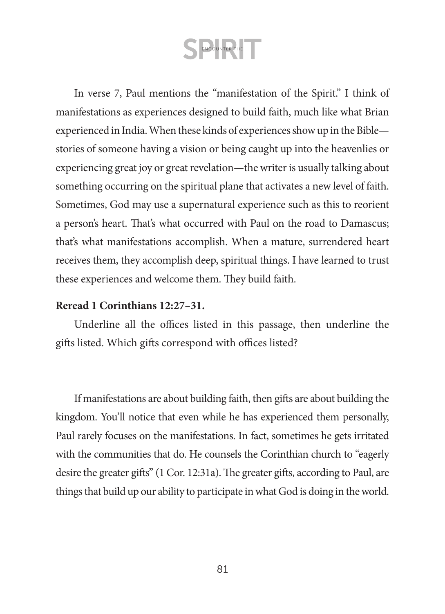In verse 7, Paul mentions the "manifestation of the Spirit." I think of manifestations as experiences designed to build faith, much like what Brian experienced in India. When these kinds of experiences show up in the Bible stories of someone having a vision or being caught up into the heavenlies or experiencing great joy or great revelation—the writer is usually talking about something occurring on the spiritual plane that activates a new level of faith. Sometimes, God may use a supernatural experience such as this to reorient a person's heart. That's what occurred with Paul on the road to Damascus; that's what manifestations accomplish. When a mature, surrendered heart receives them, they accomplish deep, spiritual things. I have learned to trust these experiences and welcome them. They build faith.

#### **Reread 1 Corinthians 12:27–31.**

Underline all the offices listed in this passage, then underline the gifts listed. Which gifts correspond with offices listed?

If manifestations are about building faith, then gifts are about building the kingdom. You'll notice that even while he has experienced them personally, Paul rarely focuses on the manifestations. In fact, sometimes he gets irritated with the communities that do. He counsels the Corinthian church to "eagerly desire the greater gifts" (1 Cor. 12:31a). The greater gifts, according to Paul, are things that build up our ability to participate in what God is doing in the world.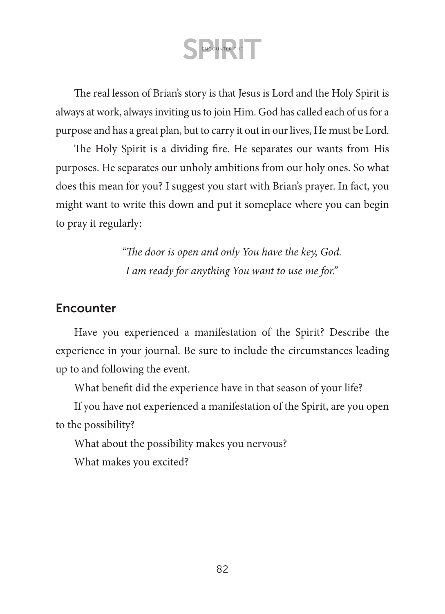The real lesson of Brian's story is that Jesus is Lord and the Holy Spirit is always at work, always inviting us to join Him. God has called each of us for a purpose and has a great plan, but to carry it out in our lives, He must be Lord.

The Holy Spirit is a dividing fire. He separates our wants from His purposes. He separates our unholy ambitions from our holy ones. So what does this mean for you? I suggest you start with Brian's prayer. In fact, you might want to write this down and put it someplace where you can begin to pray it regularly:

> *"The door is open and only You have the key, God. I am ready for anything You want to use me for."*

### Encounter

Have you experienced a manifestation of the Spirit? Describe the experience in your journal. Be sure to include the circumstances leading up to and following the event.

What benefit did the experience have in that season of your life?

If you have not experienced a manifestation of the Spirit, are you open to the possibility?

What about the possibility makes you nervous?

What makes you excited?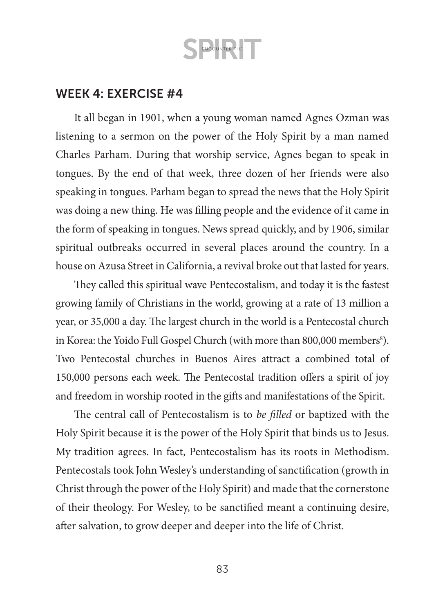### WEEK 4: EXERCISE #4

It all began in 1901, when a young woman named Agnes Ozman was listening to a sermon on the power of the Holy Spirit by a man named Charles Parham. During that worship service, Agnes began to speak in tongues. By the end of that week, three dozen of her friends were also speaking in tongues. Parham began to spread the news that the Holy Spirit was doing a new thing. He was filling people and the evidence of it came in the form of speaking in tongues. News spread quickly, and by 1906, similar spiritual outbreaks occurred in several places around the country. In a house on Azusa Street in California, a revival broke out that lasted for years.

They called this spiritual wave Pentecostalism, and today it is the fastest growing family of Christians in the world, growing at a rate of 13 million a year, or 35,000 a day. The largest church in the world is a Pentecostal church in Korea: the Yoido Full Gospel Church (with more than 800,000 members<sup>s</sup>). Two Pentecostal churches in Buenos Aires attract a combined total of 150,000 persons each week. The Pentecostal tradition offers a spirit of joy and freedom in worship rooted in the gifts and manifestations of the Spirit.

The central call of Pentecostalism is to *be filled* or baptized with the Holy Spirit because it is the power of the Holy Spirit that binds us to Jesus. My tradition agrees. In fact, Pentecostalism has its roots in Methodism. Pentecostals took John Wesley's understanding of sanctification (growth in Christ through the power of the Holy Spirit) and made that the cornerstone of their theology. For Wesley, to be sanctified meant a continuing desire, after salvation, to grow deeper and deeper into the life of Christ.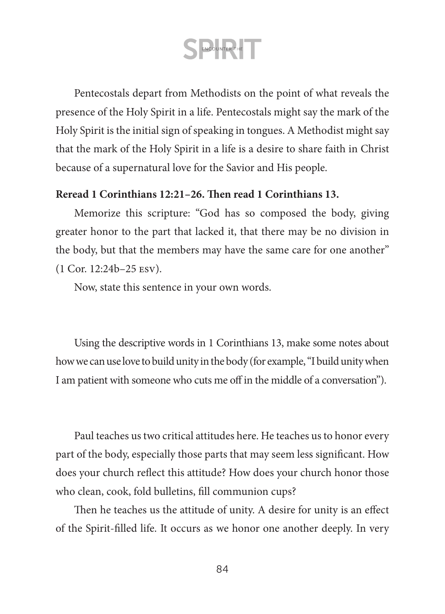Pentecostals depart from Methodists on the point of what reveals the presence of the Holy Spirit in a life. Pentecostals might say the mark of the Holy Spirit is the initial sign of speaking in tongues. A Methodist might say that the mark of the Holy Spirit in a life is a desire to share faith in Christ because of a supernatural love for the Savior and His people.

#### **Reread 1 Corinthians 12:21–26. Then read 1 Corinthians 13.**

Memorize this scripture: "God has so composed the body, giving greater honor to the part that lacked it, that there may be no division in the body, but that the members may have the same care for one another" (1 Cor. 12:24b–25 esv).

Now, state this sentence in your own words.

Using the descriptive words in 1 Corinthians 13, make some notes about how we can use love to build unity in the body (for example, "I build unity when I am patient with someone who cuts me off in the middle of a conversation").

Paul teaches us two critical attitudes here. He teaches us to honor every part of the body, especially those parts that may seem less significant. How does your church reflect this attitude? How does your church honor those who clean, cook, fold bulletins, fill communion cups?

Then he teaches us the attitude of unity. A desire for unity is an effect of the Spirit-filled life. It occurs as we honor one another deeply. In very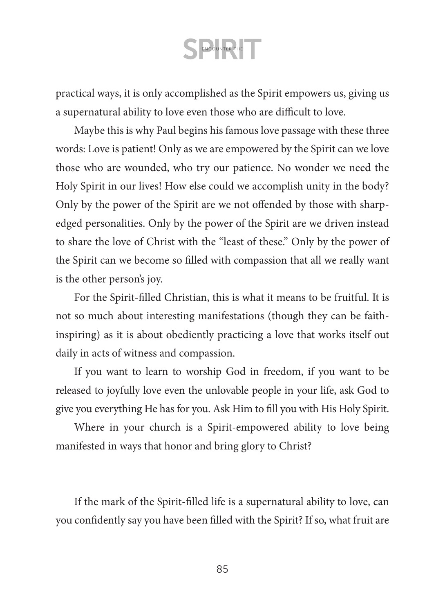practical ways, it is only accomplished as the Spirit empowers us, giving us a supernatural ability to love even those who are difficult to love.

Maybe this is why Paul begins his famous love passage with these three words: Love is patient! Only as we are empowered by the Spirit can we love those who are wounded, who try our patience. No wonder we need the Holy Spirit in our lives! How else could we accomplish unity in the body? Only by the power of the Spirit are we not offended by those with sharpedged personalities. Only by the power of the Spirit are we driven instead to share the love of Christ with the "least of these." Only by the power of the Spirit can we become so filled with compassion that all we really want is the other person's joy.

For the Spirit-filled Christian, this is what it means to be fruitful. It is not so much about interesting manifestations (though they can be faithinspiring) as it is about obediently practicing a love that works itself out daily in acts of witness and compassion.

If you want to learn to worship God in freedom, if you want to be released to joyfully love even the unlovable people in your life, ask God to give you everything He has for you. Ask Him to fill you with His Holy Spirit.

Where in your church is a Spirit-empowered ability to love being manifested in ways that honor and bring glory to Christ?

If the mark of the Spirit-filled life is a supernatural ability to love, can you confidently say you have been filled with the Spirit? If so, what fruit are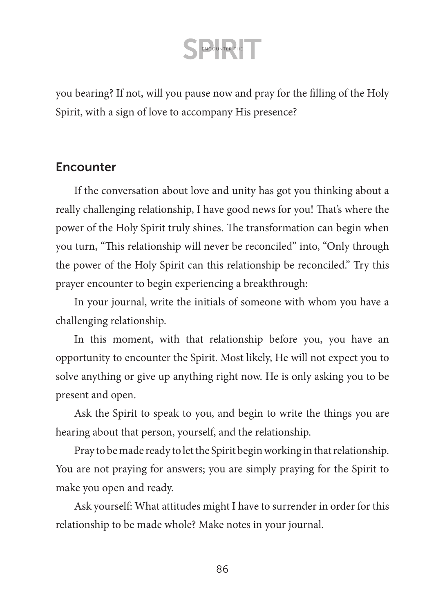you bearing? If not, will you pause now and pray for the filling of the Holy Spirit, with a sign of love to accompany His presence?

### **Encounter**

If the conversation about love and unity has got you thinking about a really challenging relationship, I have good news for you! That's where the power of the Holy Spirit truly shines. The transformation can begin when you turn, "This relationship will never be reconciled" into, "Only through the power of the Holy Spirit can this relationship be reconciled." Try this prayer encounter to begin experiencing a breakthrough:

In your journal, write the initials of someone with whom you have a challenging relationship.

In this moment, with that relationship before you, you have an opportunity to encounter the Spirit. Most likely, He will not expect you to solve anything or give up anything right now. He is only asking you to be present and open.

Ask the Spirit to speak to you, and begin to write the things you are hearing about that person, yourself, and the relationship.

Pray to be made ready to let the Spirit begin working in that relationship. You are not praying for answers; you are simply praying for the Spirit to make you open and ready.

Ask yourself: What attitudes might I have to surrender in order for this relationship to be made whole? Make notes in your journal.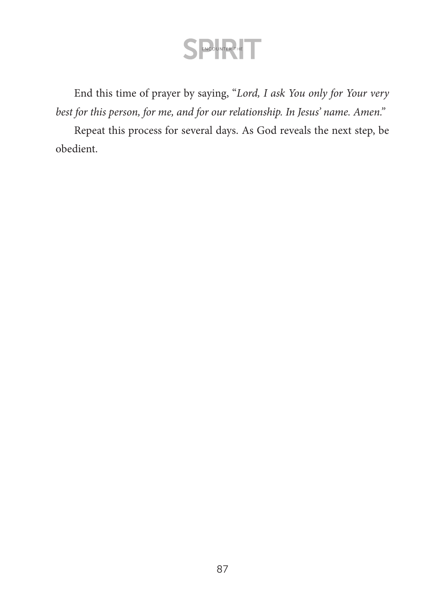

End this time of prayer by saying, "*Lord, I ask You only for Your very best for this person, for me, and for our relationship. In Jesus' name. Amen."*

Repeat this process for several days. As God reveals the next step, be obedient.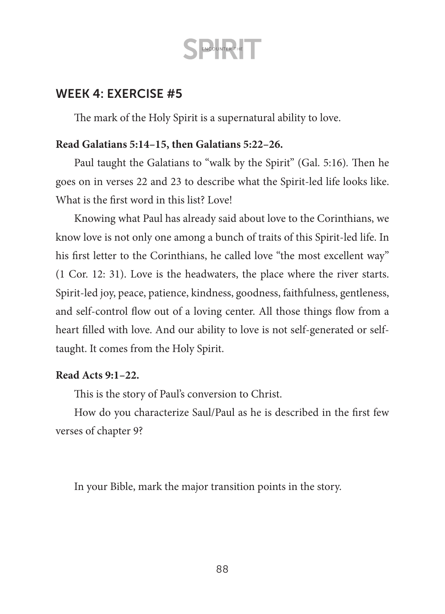S ENCOUNTER THE

### WEEK 4: EXERCISE #5

The mark of the Holy Spirit is a supernatural ability to love.

#### **Read Galatians 5:14–15, then Galatians 5:22–26.**

Paul taught the Galatians to "walk by the Spirit" (Gal. 5:16)*.* Then he goes on in verses 22 and 23 to describe what the Spirit-led life looks like. What is the first word in this list? Love!

Knowing what Paul has already said about love to the Corinthians, we know love is not only one among a bunch of traits of this Spirit-led life. In his first letter to the Corinthians, he called love "the most excellent way" (1 Cor. 12: 31). Love is the headwaters, the place where the river starts. Spirit-led joy, peace, patience, kindness, goodness, faithfulness, gentleness, and self-control flow out of a loving center. All those things flow from a heart filled with love. And our ability to love is not self-generated or selftaught. It comes from the Holy Spirit.

#### **Read Acts 9:1–22.**

This is the story of Paul's conversion to Christ.

How do you characterize Saul/Paul as he is described in the first few verses of chapter 9?

In your Bible, mark the major transition points in the story.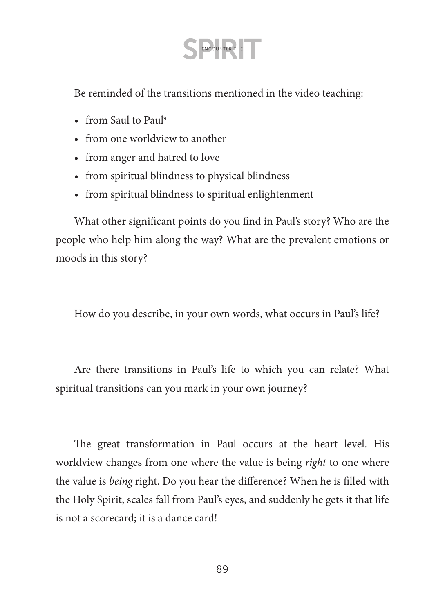Be reminded of the transitions mentioned in the video teaching:

- from Saul to Paul<sup>9</sup>
- from one worldview to another
- from anger and hatred to love
- from spiritual blindness to physical blindness
- from spiritual blindness to spiritual enlightenment

What other significant points do you find in Paul's story? Who are the people who help him along the way? What are the prevalent emotions or moods in this story?

How do you describe, in your own words, what occurs in Paul's life?

Are there transitions in Paul's life to which you can relate? What spiritual transitions can you mark in your own journey?

The great transformation in Paul occurs at the heart level. His worldview changes from one where the value is being *right* to one where the value is *being* right. Do you hear the difference? When he is filled with the Holy Spirit, scales fall from Paul's eyes, and suddenly he gets it that life is not a scorecard; it is a dance card!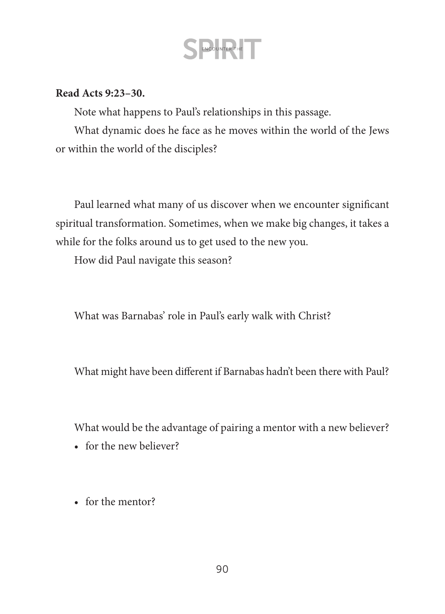### **Read Acts 9:23–30.**

Note what happens to Paul's relationships in this passage.

What dynamic does he face as he moves within the world of the Jews or within the world of the disciples?

Paul learned what many of us discover when we encounter significant spiritual transformation. Sometimes, when we make big changes, it takes a while for the folks around us to get used to the new you.

How did Paul navigate this season?

What was Barnabas' role in Paul's early walk with Christ?

What might have been different if Barnabas hadn't been there with Paul?

What would be the advantage of pairing a mentor with a new believer?

- for the new believer?
- for the mentor?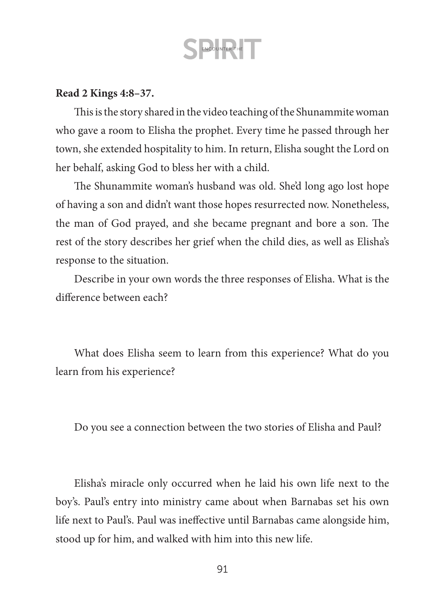#### **Read 2 Kings 4:8–37.**

This is the story shared in the video teaching of the Shunammite woman who gave a room to Elisha the prophet. Every time he passed through her town, she extended hospitality to him. In return, Elisha sought the Lord on her behalf, asking God to bless her with a child.

The Shunammite woman's husband was old. She'd long ago lost hope of having a son and didn't want those hopes resurrected now. Nonetheless, the man of God prayed, and she became pregnant and bore a son. The rest of the story describes her grief when the child dies, as well as Elisha's response to the situation.

Describe in your own words the three responses of Elisha. What is the difference between each?

What does Elisha seem to learn from this experience? What do you learn from his experience?

Do you see a connection between the two stories of Elisha and Paul?

Elisha's miracle only occurred when he laid his own life next to the boy's. Paul's entry into ministry came about when Barnabas set his own life next to Paul's. Paul was ineffective until Barnabas came alongside him, stood up for him, and walked with him into this new life.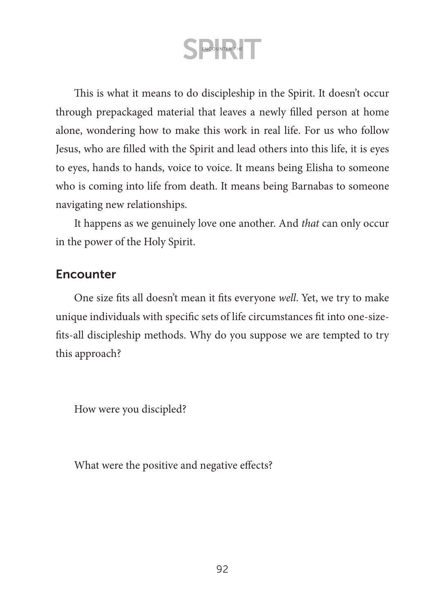This is what it means to do discipleship in the Spirit. It doesn't occur through prepackaged material that leaves a newly filled person at home alone, wondering how to make this work in real life. For us who follow Jesus, who are filled with the Spirit and lead others into this life, it is eyes to eyes, hands to hands, voice to voice. It means being Elisha to someone who is coming into life from death. It means being Barnabas to someone navigating new relationships.

It happens as we genuinely love one another. And *that* can only occur in the power of the Holy Spirit.

### **Encounter**

One size fits all doesn't mean it fits everyone *well*. Yet, we try to make unique individuals with specific sets of life circumstances fit into one-sizefits-all discipleship methods. Why do you suppose we are tempted to try this approach?

How were you discipled?

What were the positive and negative effects?